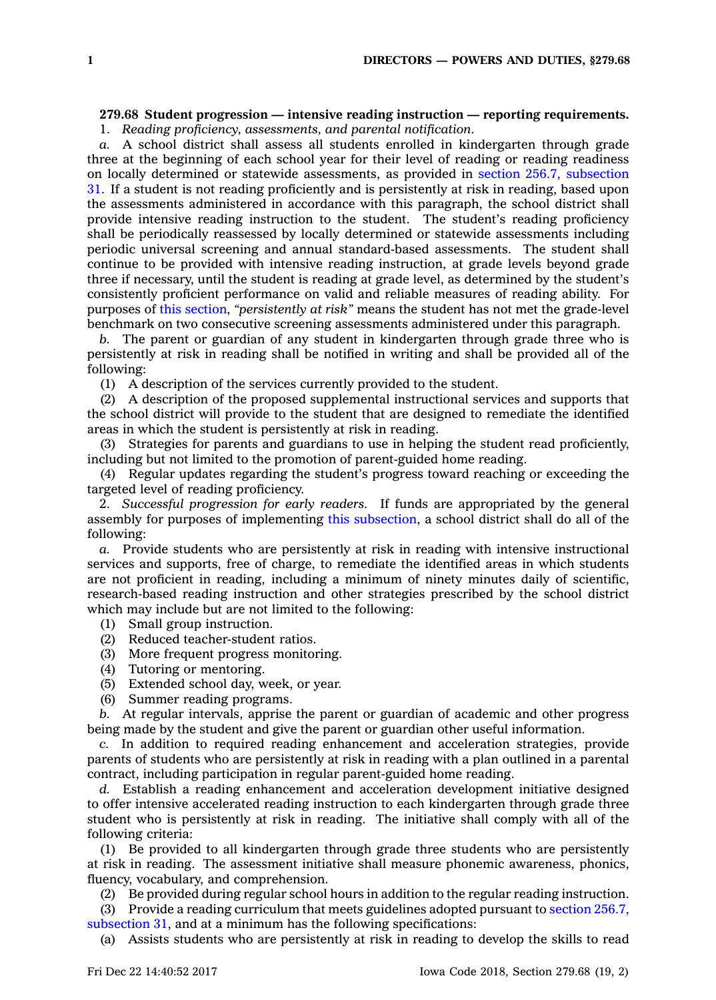## **279.68 Student progression — intensive reading instruction — reporting requirements.**

1. *Reading proficiency, assessments, and parental notification.*

*a.* A school district shall assess all students enrolled in kindergarten through grade three at the beginning of each school year for their level of reading or reading readiness on locally determined or statewide assessments, as provided in section 256.7, [subsection](https://www.legis.iowa.gov/docs/code/256.7.pdf) [31](https://www.legis.iowa.gov/docs/code/256.7.pdf). If <sup>a</sup> student is not reading proficiently and is persistently at risk in reading, based upon the assessments administered in accordance with this paragraph, the school district shall provide intensive reading instruction to the student. The student's reading proficiency shall be periodically reassessed by locally determined or statewide assessments including periodic universal screening and annual standard-based assessments. The student shall continue to be provided with intensive reading instruction, at grade levels beyond grade three if necessary, until the student is reading at grade level, as determined by the student's consistently proficient performance on valid and reliable measures of reading ability. For purposes of this [section](https://www.legis.iowa.gov/docs/code/279.68.pdf), *"persistently at risk"* means the student has not met the grade-level benchmark on two consecutive screening assessments administered under this paragraph.

*b.* The parent or guardian of any student in kindergarten through grade three who is persistently at risk in reading shall be notified in writing and shall be provided all of the following:

(1) A description of the services currently provided to the student.

(2) A description of the proposed supplemental instructional services and supports that the school district will provide to the student that are designed to remediate the identified areas in which the student is persistently at risk in reading.

(3) Strategies for parents and guardians to use in helping the student read proficiently, including but not limited to the promotion of parent-guided home reading.

(4) Regular updates regarding the student's progress toward reaching or exceeding the targeted level of reading proficiency.

2. *Successful progression for early readers.* If funds are appropriated by the general assembly for purposes of implementing this [subsection](https://www.legis.iowa.gov/docs/code/279.68.pdf), <sup>a</sup> school district shall do all of the following:

*a.* Provide students who are persistently at risk in reading with intensive instructional services and supports, free of charge, to remediate the identified areas in which students are not proficient in reading, including <sup>a</sup> minimum of ninety minutes daily of scientific, research-based reading instruction and other strategies prescribed by the school district which may include but are not limited to the following:

- (1) Small group instruction.
- (2) Reduced teacher-student ratios.
- (3) More frequent progress monitoring.
- (4) Tutoring or mentoring.
- (5) Extended school day, week, or year.
- (6) Summer reading programs.

*b.* At regular intervals, apprise the parent or guardian of academic and other progress being made by the student and give the parent or guardian other useful information.

*c.* In addition to required reading enhancement and acceleration strategies, provide parents of students who are persistently at risk in reading with <sup>a</sup> plan outlined in <sup>a</sup> parental contract, including participation in regular parent-guided home reading.

*d.* Establish <sup>a</sup> reading enhancement and acceleration development initiative designed to offer intensive accelerated reading instruction to each kindergarten through grade three student who is persistently at risk in reading. The initiative shall comply with all of the following criteria:

(1) Be provided to all kindergarten through grade three students who are persistently at risk in reading. The assessment initiative shall measure phonemic awareness, phonics, fluency, vocabulary, and comprehension.

(2) Be provided during regular school hours in addition to the regular reading instruction.

(3) Provide <sup>a</sup> reading curriculum that meets guidelines adopted pursuant to section [256.7,](https://www.legis.iowa.gov/docs/code/256.7.pdf) [subsection](https://www.legis.iowa.gov/docs/code/256.7.pdf) 31, and at <sup>a</sup> minimum has the following specifications:

(a) Assists students who are persistently at risk in reading to develop the skills to read